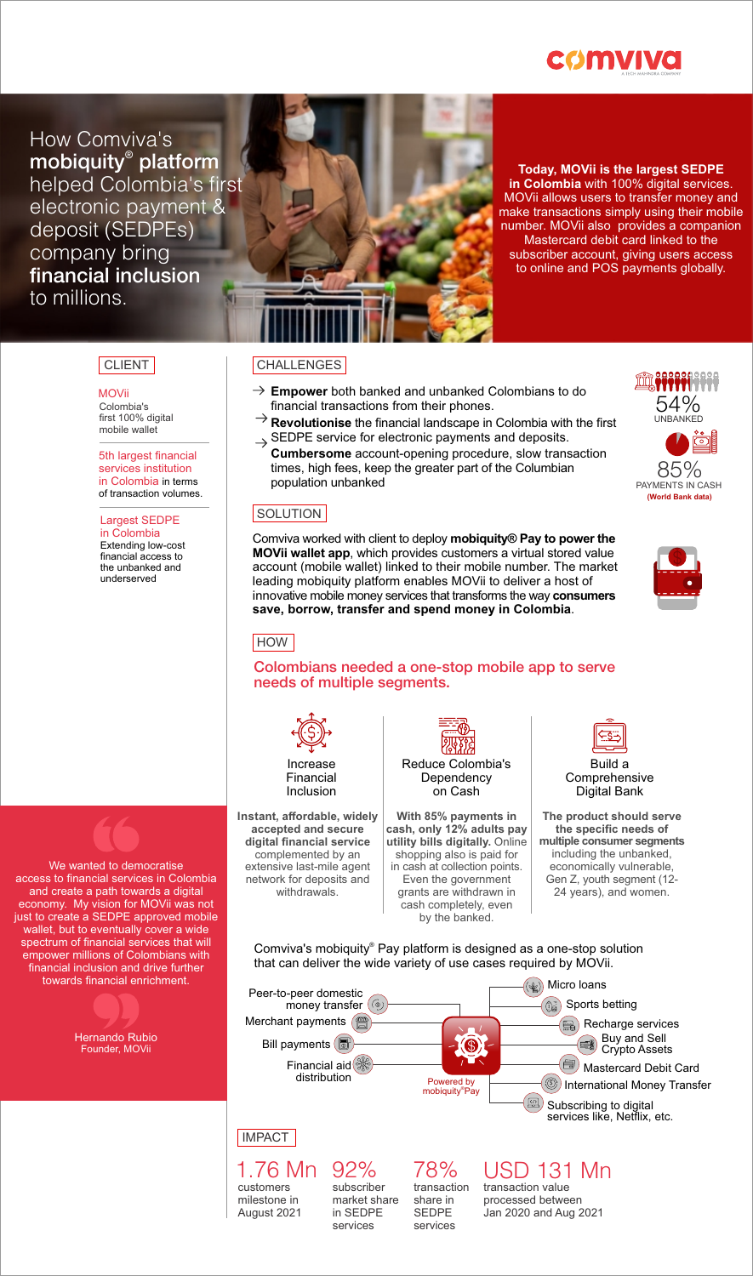

How Comviva's mobiquity<sup>®</sup> platform helped Colombia's first electronic payment & deposit (SEDPEs) company bring financial inclusion to millions.

**Today, MOVii is the largest SEDPE in Colombia** with 100% digital services. MOVii allows users to transfer money and make transactions simply using their mobile number. MOVii also provides a companion Mastercard debit card linked to the subscriber account, giving users access to online and POS payments globally.

### CLIENT CHALLENGES

**MOVii** Colombia's first 100% digital mobile wallet

5th largest financial services institution in Colombia in terms of transaction volumes.

Largest SEDPE in Colombia Extending low-cost financial access to the unbanked and underserved

#### We wanted to democratise access to financial services in Colombia and create a path towards a digital economy. My vision for MOVii was not just to create a SEDPE approved mobile wallet, but to eventually cover a wide spectrum of financial services that will empower millions of Colombians with financial inclusion and drive further

towards financial enrichment.

Hernando Rubio Founder, MOVii



SEDPE service for electronic payments and deposits.  $\rightarrow$ **Cumbersome** account-opening procedure, slow transaction times, high fees, keep the greater part of the Columbian population unbanked

## SOLUTION

Comviva worked with client to deploy **mobiquity® Pay to power the MOVii wallet app**, which provides customers a virtual stored value account (mobile wallet) linked to their mobile number. The market leading mobiquity platform enables MOVii to deliver a host of innovative mobile money services that transforms the way **consumers save, borrow, transfer and spend money in Colombia**.

### **HOW**

### Colombians needed a one-stop mobile app to serve needs of multiple segments.



**Instant, affordable, widely accepted and secure digital financial service** complemented by an extensive last-mile agent network for deposits and withdrawals.



**With 85% payments in cash, only 12% adults pay utility bills digitally.** Online shopping also is paid for in cash at collection points. Even the government grants are withdrawn in cash completely, even by the banked.



Comprehensive Digital Bank

**The product should serve the specific needs of multiple consumer segments** including the unbanked, economically vulnerable, Gen Z, youth segment (12- 24 years), and women.

Comviva's mobiquity® Pay platform is designed as a one-stop solution that can deliver the wide variety of use cases required by MOVii.



# **IMPACT**

customers milestone in August 2021 1.76 Mn 92%

subscriber market share in SEDPE services

transaction share in SEDPE services

transaction value 78% USD 131 Mn

processed between Jan 2020 and Aug 2021